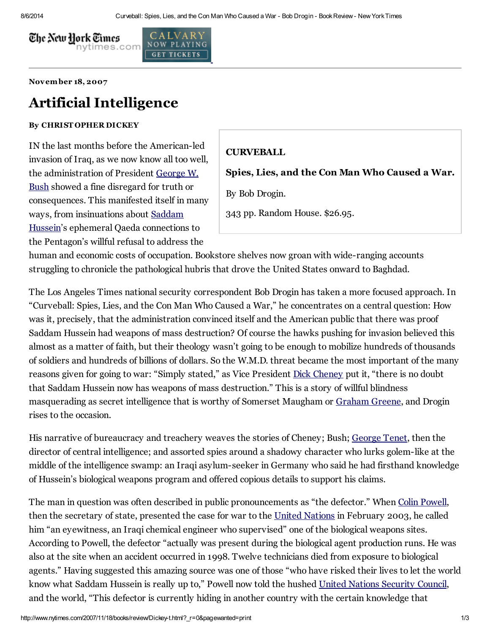

November 18, 2007

## Artificial Intelligence

## By CHRIST OPHER DICKEY

IN the last months before the American-led invasion of Iraq, as we now know all too well, the [administration](http://topics.nytimes.com/top/reference/timestopics/people/b/george_w_bush/index.html?inline=nyt-per) of President George W. Bush showed a fine disregard for truth or consequences. This manifested itself in many ways, from [insinuations](http://topics.nytimes.com/top/reference/timestopics/people/h/saddam_hussein/index.html?inline=nyt-per) about Saddam Hussein's ephemeral Qaeda connections to the Pentagon's willful refusal to address the

## CURVEBALL

Spies, Lies, and the Con Man Who Caused a War.

By Bob Drogin.

343 pp. Random House. \$26.95.

human and economic costs of occupation. Bookstore shelves now groan with wide-ranging accounts struggling to chronicle the pathological hubris that drove the United States onward to Baghdad.

The Los Angeles Times national security correspondent Bob Drogin has taken a more focused approach. In "Curveball: Spies, Lies, and the Con Man Who Caused a War," he concentrates on a central question: How was it, precisely, that the administration convinced itself and the American public that there was proof Saddam Hussein had weapons of mass destruction? Of course the hawks pushing for invasion believed this almost as a matter of faith, but their theology wasn't going to be enough to mobilize hundreds of thousands of soldiers and hundreds of billions of dollars. So the W.M.D. threat became the most important of the many reasons given for going to war: "Simply stated," as Vice President Dick [Cheney](http://topics.nytimes.com/top/reference/timestopics/people/c/dick_cheney/index.html?inline=nyt-per) put it, "there is no doubt that Saddam Hussein now has weapons of mass destruction." This is a story of willful blindness masquerading as secret intelligence that is worthy of Somerset Maugham or [Graham](http://topics.nytimes.com/top/reference/timestopics/people/g/graham_greene/index.html?inline=nyt-per) Greene, and Drogin rises to the occasion.

His narrative of bureaucracy and treachery weaves the stories of Cheney; Bush; [George](http://topics.nytimes.com/top/reference/timestopics/people/t/george_j_tenet/index.html?inline=nyt-per) Tenet, then the director of central intelligence; and assorted spies around a shadowy character who lurks golem-like at the middle of the intelligence swamp: an Iraqi asylum-seeker in Germany who said he had firsthand knowledge of Hussein's biological weapons program and offered copious details to support his claims.

The man in question was often described in public pronouncements as "the defector." When Colin [Powell](http://topics.nytimes.com/top/reference/timestopics/people/p/colin_l_powell/index.html?inline=nyt-per), then the secretary of state, presented the case for war to the United [Nations](http://topics.nytimes.com/top/reference/timestopics/organizations/u/united_nations/index.html?inline=nyt-org) in February 2003, he called him "an eyewitness, an Iraqi chemical engineer who supervised" one of the biological weapons sites. According to Powell, the defector "actually was present during the biological agent production runs. He was also at the site when an accident occurred in 1998. Twelve technicians died from exposure to biological agents." Having suggested this amazing source was one of those "who have risked their lives to let the world know what Saddam Hussein is really up to," Powell now told the hushed United Nations [Security](http://topics.nytimes.com/top/reference/timestopics/organizations/s/security_council/index.html?inline=nyt-org) Council, and the world, "This defector is currently hiding in another country with the certain knowledge that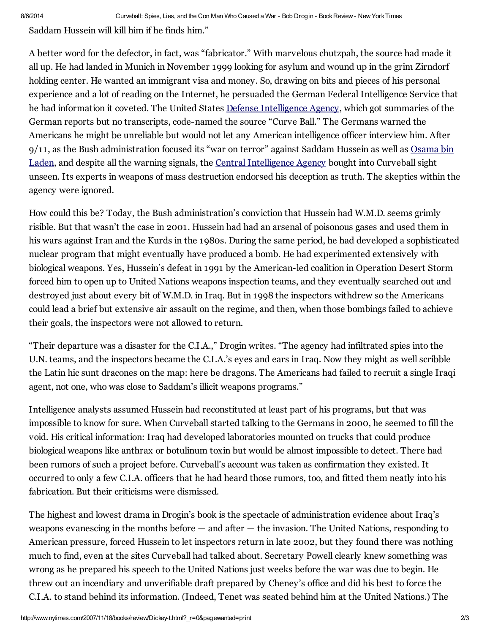Saddam Hussein will kill him if he finds him."

A better word for the defector, in fact, was "fabricator." With marvelous chutzpah, the source had made it all up. He had landed in Munich in November 1999 looking for asylum and wound up in the grim Zirndorf holding center. He wanted an immigrant visa and money. So, drawing on bits and pieces of his personal experience and a lot of reading on the Internet, he persuaded the German Federal Intelligence Service that he had information it coveted. The United States Defense [Intelligence](http://topics.nytimes.com/top/reference/timestopics/organizations/d/defense_intelligence_agency/index.html?inline=nyt-org) Agency, which got summaries of the German reports but no transcripts, code-named the source "Curve Ball." The Germans warned the Americans he might be unreliable but would not let any American intelligence officer interview him. After 9/11, as the Bush [administration](http://topics.nytimes.com/top/reference/timestopics/people/b/osama_bin_laden/index.html?inline=nyt-per) focused its "war on terror" against Saddam Hussein as well as Osama bin Laden, and despite all the warning signals, the Central [Intelligence](http://topics.nytimes.com/top/reference/timestopics/organizations/c/central_intelligence_agency/index.html?inline=nyt-org) Agency bought into Curveball sight unseen. Its experts in weapons of mass destruction endorsed his deception as truth. The skeptics within the agency were ignored.

How could this be? Today, the Bush administration's conviction that Hussein had W.M.D. seems grimly risible. But that wasn't the case in 2001. Hussein had had an arsenal of poisonous gases and used them in his wars against Iran and the Kurds in the 1980s. During the same period, he had developed a sophisticated nuclear program that might eventually have produced a bomb. He had experimented extensively with biological weapons. Yes, Hussein's defeat in 1991 by the American-led coalition in Operation Desert Storm forced him to open up to United Nations weapons inspection teams, and they eventually searched out and destroyed just about every bit of W.M.D. in Iraq. But in 1998 the inspectors withdrew so the Americans could lead a brief but extensive air assault on the regime, and then, when those bombings failed to achieve their goals, the inspectors were not allowed to return.

"Their departure was a disaster for the C.I.A.," Drogin writes. "The agency had infiltrated spies into the U.N. teams, and the inspectors became the C.I.A.'s eyes and ears in Iraq. Now they might as well scribble the Latin hic sunt dracones on the map: here be dragons. The Americans had failed to recruit a single Iraqi agent, not one, who was close to Saddam's illicit weapons programs."

Intelligence analysts assumed Hussein had reconstituted at least part of his programs, but that was impossible to know for sure. When Curveball started talking to the Germans in 2000, he seemed to fill the void. His critical information: Iraq had developed laboratories mounted on trucks that could produce biological weapons like anthrax or botulinum toxin but would be almost impossible to detect. There had been rumors of such a project before. Curveball's account was taken as confirmation they existed. It occurred to only a few C.I.A. officers that he had heard those rumors, too, and fitted them neatly into his fabrication. But their criticisms were dismissed.

The highest and lowest drama in Drogin's book is the spectacle of administration evidence about Iraq's weapons evanescing in the months before — and after — the invasion. The United Nations, responding to American pressure, forced Hussein to let inspectors return in late 2002, but they found there was nothing much to find, even at the sites Curveball had talked about. Secretary Powell clearly knew something was wrong as he prepared his speech to the United Nations just weeks before the war was due to begin. He threw out an incendiary and unverifiable draft prepared by Cheney's office and did his best to force the C.I.A. to stand behind its information. (Indeed, Tenet was seated behind him at the United Nations.) The